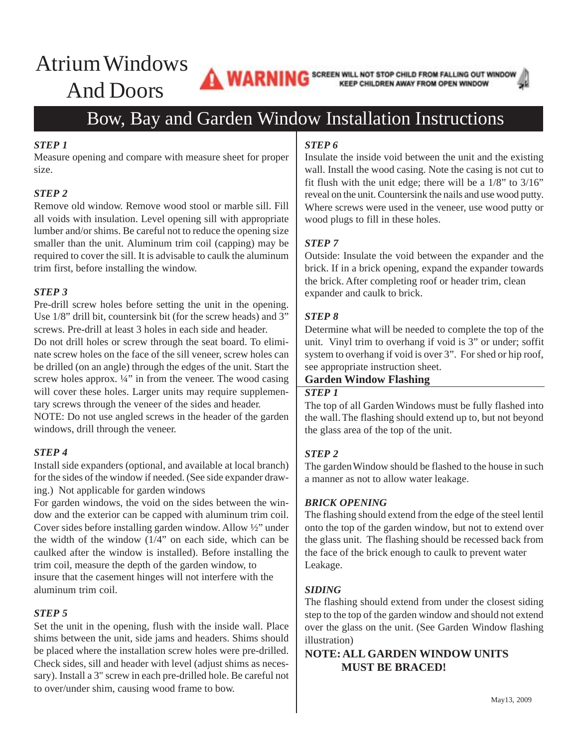# Atrium Windows And Doors

**WARNING** SCREEN WILL NOT STOP CHILD FROM FALLING OUT WINDOW KEEP CHILDREN AWAY FROM OPEN WINDOW

# Bow, Bay and Garden Window Installation Instructions

# *STEP 1*

Measure opening and compare with measure sheet for proper size.

# *STEP 2*

Remove old window. Remove wood stool or marble sill. Fill all voids with insulation. Level opening sill with appropriate lumber and/or shims. Be careful not to reduce the opening size smaller than the unit. Aluminum trim coil (capping) may be required to cover the sill. It is advisable to caulk the aluminum trim first, before installing the window.

### *STEP 3*

Pre-drill screw holes before setting the unit in the opening. Use 1/8" drill bit, countersink bit (for the screw heads) and 3" screws. Pre-drill at least 3 holes in each side and header. Do not drill holes or screw through the seat board. To eliminate screw holes on the face of the sill veneer, screw holes can be drilled (on an angle) through the edges of the unit. Start the screw holes approx.  $\frac{1}{4}$ " in from the veneer. The wood casing will cover these holes. Larger units may require supplementary screws through the veneer of the sides and header.

NOTE: Do not use angled screws in the header of the garden windows, drill through the veneer.

### *STEP 4*

Install side expanders (optional, and available at local branch) for the sides of the window if needed. (See side expander drawing.) Not applicable for garden windows

For garden windows, the void on the sides between the window and the exterior can be capped with aluminum trim coil. Cover sides before installing garden window. Allow ½" under the width of the window  $(1/4)$  on each side, which can be caulked after the window is installed). Before installing the trim coil, measure the depth of the garden window, to insure that the casement hinges will not interfere with the aluminum trim coil.

### *STEP 5*

Set the unit in the opening, flush with the inside wall. Place shims between the unit, side jams and headers. Shims should be placed where the installation screw holes were pre-drilled. Check sides, sill and header with level (adjust shims as necessary). Install a 3" screw in each pre-drilled hole. Be careful not to over/under shim, causing wood frame to bow.

#### *STEP 6*

Insulate the inside void between the unit and the existing wall. Install the wood casing. Note the casing is not cut to fit flush with the unit edge; there will be a 1/8" to 3/16" reveal on the unit. Countersink the nails and use wood putty. Where screws were used in the veneer, use wood putty or wood plugs to fill in these holes.

# *STEP 7*

Outside: Insulate the void between the expander and the brick. If in a brick opening, expand the expander towards the brick. After completing roof or header trim, clean expander and caulk to brick.

# *STEP 8*

Determine what will be needed to complete the top of the unit. Vinyl trim to overhang if void is 3" or under; soffit system to overhang if void is over 3". For shed or hip roof, see appropriate instruction sheet.

# **Garden Window Flashing**

# *STEP 1*

The top of all Garden Windows must be fully flashed into the wall. The flashing should extend up to, but not beyond the glass area of the top of the unit.

### *STEP 2*

The garden Window should be flashed to the house in such a manner as not to allow water leakage.

### *BRICK OPENING*

The flashing should extend from the edge of the steel lentil onto the top of the garden window, but not to extend over the glass unit. The flashing should be recessed back from the face of the brick enough to caulk to prevent water Leakage.

### *SIDING*

The flashing should extend from under the closest siding step to the top of the garden window and should not extend over the glass on the unit. (See Garden Window flashing illustration)

**NOTE: ALL GARDEN WINDOW UNITS MUST BE BRACED!**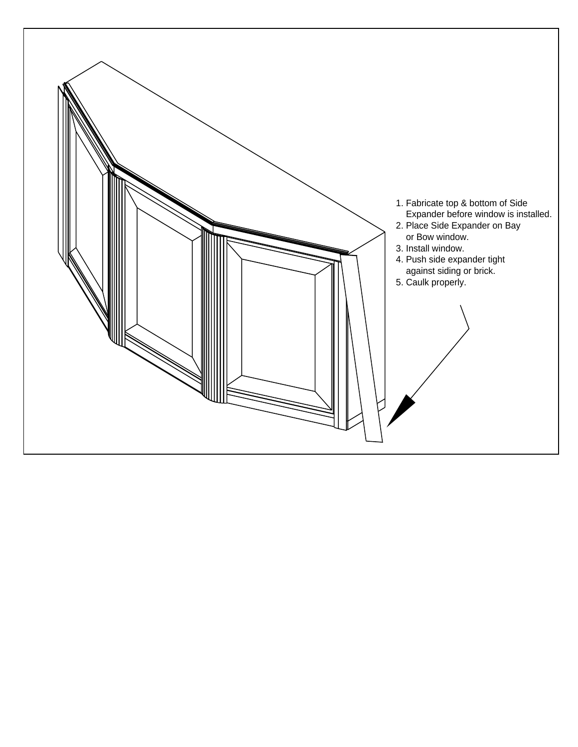